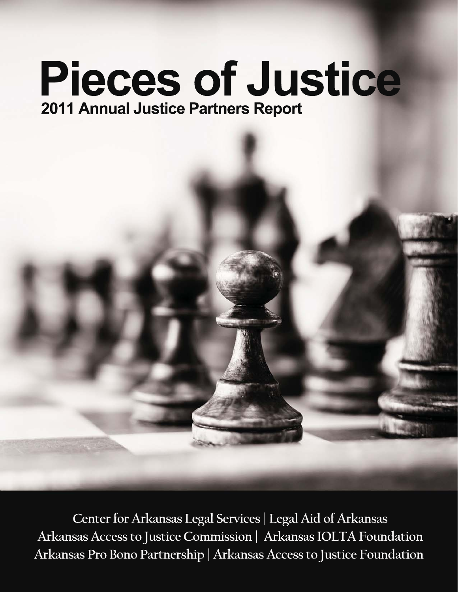# **Pieces of Justice** 2011 Annual Justice Partners Report

Center for Arkansas Legal Services | Legal Aid of Arkansas Arkansas Access to Justice Commission | Arkansas IOLTA Foundation Arkansas Pro Bono Partnership | Arkansas Access to Justice Foundation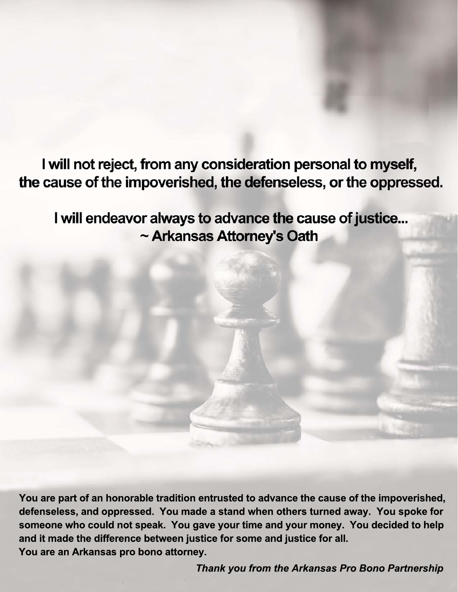I will not reject, from any consideration personal to myself, the cause of the impoverished, the defenseless, or the oppressed.

I will endeavor always to advance the cause of justice... ~ Arkansas Attorney's Oath

You are part of an honorable tradition entrusted to advance the cause of the impoverished, defenseless, and oppressed. You made a stand when others turned away. You spoke for someone who could not speak. You gave your time and your money. You decided to help and it made the difference between justice for some and justice for all. You are an Arkansas pro bono attorney.

Thank you from the Arkansas Pro Bono Partnership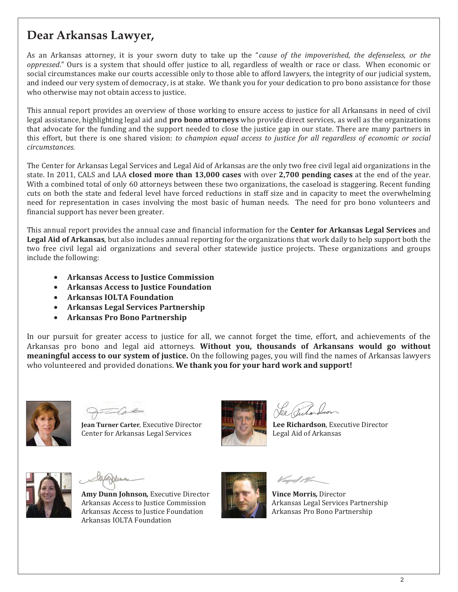### **Dear Arkansas Lawyer,**

As an Arkansas attorney, it is your sworn duty to take up the "*cause of the impoverished, the defenseless, or the* oppressed." Ours is a system that should offer justice to all, regardless of wealth or race or class. When economic or social circumstances make our courts accessible only to those able to afford lawyers, the integrity of our judicial system, and indeed our very system of democracy, is at stake. We thank you for your dedication to pro bono assistance for those who otherwise may not obtain access to justice.

This annual report provides an overview of those working to ensure access to justice for all Arkansans in need of civil legal assistance, highlighting legal aid and **pro bono attorneys** who provide direct services, as well as the organizations that advocate for the funding and the support needed to close the justice gap in our state. There are many partners in this effort, but there is one shared vision: to champion equal access to justice for all regardless of economic or social *circumstances.* 

The Center for Arkansas Legal Services and Legal Aid of Arkansas are the only two free civil legal aid organizations in the state. In 2011, CALS and LAA **closed more than 13,000 cases** with over 2,700 pending cases at the end of the year. With a combined total of only 60 attorneys between these two organizations, the caseload is staggering. Recent funding cuts on both the state and federal level have forced reductions in staff size and in capacity to meet the overwhelming need for representation in cases involving the most basic of human needs. The need for pro bono volunteers and financial support has never been greater.

This annual report provides the annual case and financial information for the **Center for Arkansas Legal Services** and Legal Aid of Arkansas, but also includes annual reporting for the organizations that work daily to help support both the two free civil legal aid organizations and several other statewide justice projects. These organizations and groups include the following:

- **Arkansas Access to Justice Commission**
- **Arkansas Access to Justice Foundation**
- **Arkansas IOLTA Foundation**
- **Arkansas Legal Services Partnership**
- **Arkansas Pro Bono Partnership**

In our pursuit for greater access to justice for all, we cannot forget the time, effort, and achievements of the Arkansas pro bono and legal aid attorneys. Without you, thousands of Arkansans would go without **meaningful access to our system of justice.** On the following pages, you will find the names of Arkansas lawyers who volunteered and provided donations. We thank you for your hard work and support!



**Jean Turner Carter**, Executive Directo Center for Arkansas Legal Services



Ved H

**Lee Richardson**, Executive Director Legal Aid of Arkansas



Amy Dunn Johnson, Executive Director Arkansas Access to Justice Commission Arkansas Access to Justice Foundation Arkansas IOLTA Foundation



Arkansas Legal Services Partnership **Vince Morris**, Director Arkansas Pro Bono Partnership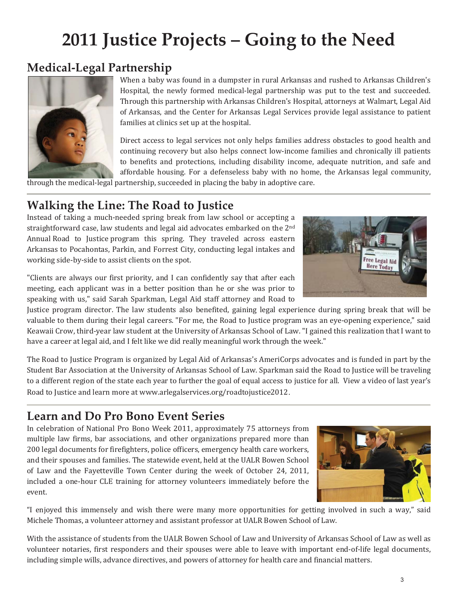## **2011 Justice Projects – Going to the Need**

## **Medical-Legal Partnership**



When a baby was found in a dumpster in rural Arkansas and rushed to Arkansas Children's Hospital, the newly formed medical-legal partnership was put to the test and succeeded. Through this partnership with Arkansas Children's Hospital, attorneys at Walmart, Legal Aid of Arkansas, and the Center for Arkansas Legal Services provide legal assistance to patient families at clinics set up at the hospital.

Direct access to legal services not only helps families address obstacles to good health and continuing recovery but also helps connect low-income families and chronically ill patients to benefits and protections, including disability income, adequate nutrition, and safe and affordable housing. For a defenseless baby with no home, the Arkansas legal community,

through the medical-legal partnership, succeeded in placing the baby in adoptive care.

### **Walking the Line: The Road to Justice**

Instead of taking a much-needed spring break from law school or accepting a straightforward case, law students and legal aid advocates embarked on the 2nd Annual Road to Justice program this spring. They traveled across eastern Arkansas to Pocahontas, Parkin, and Forrest City, conducting legal intakes and working side-by-side to assist clients on the spot.

"Clients are always our first priority, and I can confidently say that after each meeting, each applicant was in a better position than he or she was prior to speaking with us," said Sarah Sparkman, Legal Aid staff attorney and Road to

Justice program director. The law students also benefited, gaining legal experience during spring break that will be valuable to them during their legal careers. "For me, the Road to Justice program was an eye-opening experience," said Keawaii Crow, third-year law student at the University of Arkansas School of Law. "I gained this realization that I want to have a career at legal aid, and I felt like we did really meaningful work through the week."

The Road to Justice Program is organized by Legal Aid of Arkansas's AmeriCorps advocates and is funded in part by the Student Bar Association at the University of Arkansas School of Law. Sparkman said the Road to Justice will be traveling to a different region of the state each year to further the goal of equal access to justice for all. View a video of last year's Road to Justice and learn more at www.arlegalservices.org/roadtojustice2012.

### **Learn and Do Pro Bono Event Series**

In celebration of National Pro Bono Week 2011, approximately 75 attorneys from multiple law firms, bar associations, and other organizations prepared more than 200 legal documents for firefighters, police officers, emergency health care workers, and their spouses and families. The statewide event, held at the UALR Bowen School of Law and the Fayetteville Town Center during the week of October 24, 2011, included a one-hour CLE training for attorney volunteers immediately before the event.

"I enjoyed this immensely and wish there were many more opportunities for getting involved in such a way," said Michele Thomas, a volunteer attorney and assistant professor at UALR Bowen School of Law.

With the assistance of students from the UALR Bowen School of Law and University of Arkansas School of Law as well as volunteer notaries, first responders and their spouses were able to leave with important end-of-life legal documents, including simple wills, advance directives, and powers of attorney for health care and financial matters.



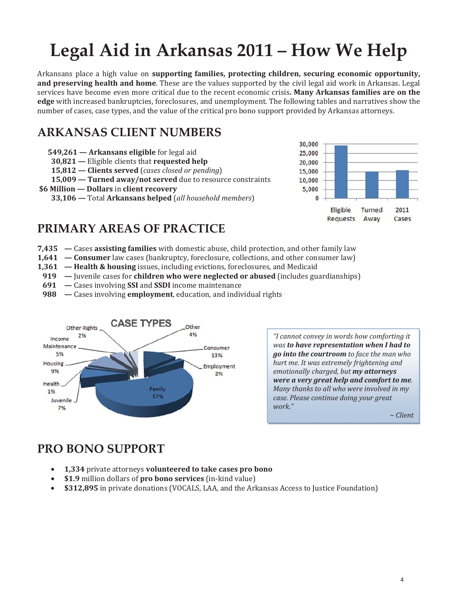## **Legal Aid in Arkansas 2011 – How We Help**

Arkansans place a high value on **supporting families, protecting children, securing economic opportunity, and preserving health and home**. These are the values supported by the civil legal aid work in Arkansas. Legal services have become even more critical due to the recent economic crisis**. Many Arkansas families are on the** edge with increased bankruptcies, foreclosures, and unemployment. The following tables and narratives show the number of cases, case types, and the value of the critical pro bono support provided by Arkansas attorneys.

## **ARKANSAS CLIENT NUMBERS**

- **549,261 Arkansans eligible**
	- **30,821** Eligible clients that **requested help**
	- **15,812 Clients served** (*cases closed or pending*)
- **15,009 Turned away/not served** due to resource constraints
- **\$6 Million Dollars in client recovery**

**33,106 — Total Arkansans helped** (all household members)



## **PRIMARY AREAS OF PRACTICE**

- **7,435 Cases assisting families** with domestic abuse, child protection, and other family law
- **1,641 Consumer** law cases (bankruptcy, foreclosure, collections, and other consumer law)
- **1,361 Health & housing** issues, including evictions, foreclosures, and Medicaid
- **919** Juvenile cases for **children who were neglected or abused** (includes guardianships)
- **691** Cases involving SSI and SSDI income maintenance
- **988** Cases involving **employment**, education, and individual rights



*"I cannot convey in words how comforting it was to have representation when I had to go into the courtroom to face the man who hurt me. It was extremely frightening and emotionally charged, but my attorneys were a very great help and comfort to me. Many thanks to all who were involved in my case. Please continue doing your great* 

*~ Client* 

## **PRO BONO SUPPORT**

- **•** 1,334 private attorneys volunteered to take cases pro bono
- **•** \$1.9 million dollars of pro bono services (in-kind value)
- \$312,895 in private donations (VOCALS, LAA, and the Arkansas Access to Justice Foundation)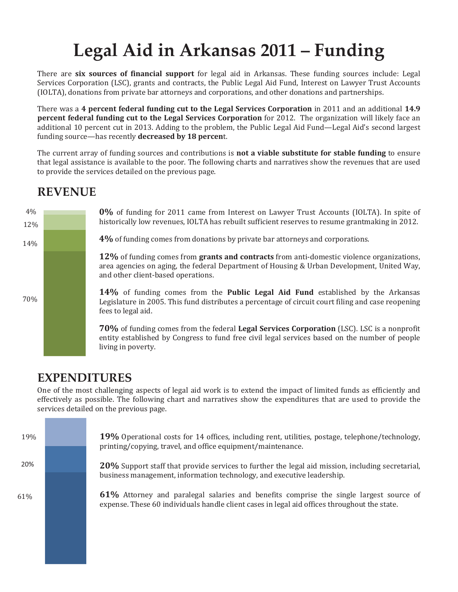## **Legal Aid in Arkansas 2011 – Funding**

There are **six sources of financial support** for legal aid in Arkansas. These funding sources include: Legal Services Corporation (LSC), grants and contracts, the Public Legal Aid Fund, Interest on Lawyer Trust Accounts (IOLTA), donations from private bar attorneys and corporations, and other donations and partnerships.

There was a **4 percent federal funding cut to the Legal Services Corporation** in 2011 and an additional **14.9 percent federal funding cut to the Legal Services Corporation** for 2012. The organization will likely face an additional 10 percent cut in 2013. Adding to the problem, the Public Legal Aid Fund—Legal Aid's second largest funding source—has recently **decreased by 18 percen**t.

The current array of funding sources and contributions is **not a viable substitute for stable funding** to ensure that legal assistance is available to the poor. The following charts and narratives show the revenues that are used to provide the services detailed on the previous page.

### **REVENUE**



### **EXPENDITURES**

One of the most challenging aspects of legal aid work is to extend the impact of limited funds as efficiently and effectively as possible. The following chart and narratives show the expenditures that are used to provide the services detailed on the previous page.

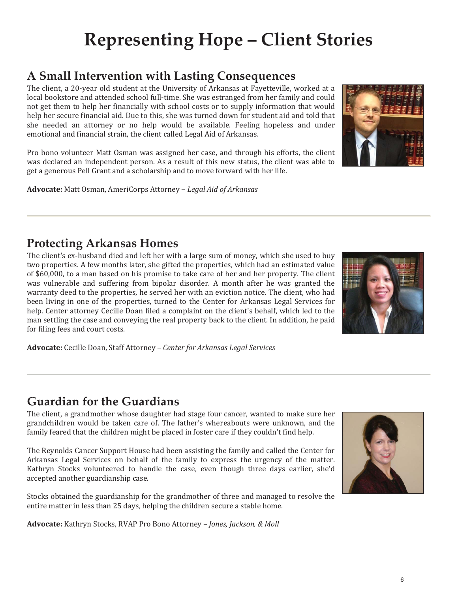## **Representing Hope – Client Stories**

## **A Small Intervention with Lasting Consequences**

The client, a 20-year old student at the University of Arkansas at Fayetteville, worked at a local bookstore and attended school full-time. She was estranged from her family and could not get them to help her financially with school costs or to supply information that would help her secure financial aid. Due to this, she was turned down for student aid and told that she needed an attorney or no help would be available. Feeling hopeless and under emotional and financial strain, the client called Legal Aid of Arkansas.

Pro bono volunteer Matt Osman was assigned her case, and through his efforts, the client was declared an independent person. As a result of this new status, the client was able to get a generous Pell Grant and a scholarship and to move forward with her life.

**Advocate:** Matt Osman, AmeriCorps Attorney – *Legal Aid of Arkansas* 

### **Protecting Arkansas Homes**

The client's ex-husband died and left her with a large sum of money, which she used to buy two properties. A few months later, she gifted the properties, which had an estimated value of \$60,000, to a man based on his promise to take care of her and her property. The client was vulnerable and suffering from bipolar disorder. A month after he was granted the warranty deed to the properties, he served her with an eviction notice. The client, who had been living in one of the properties, turned to the Center for Arkansas Legal Services for help. Center attorney Cecille Doan filed a complaint on the client's behalf, which led to the man settling the case and conveying the real property back to the client. In addition, he paid for filing fees and court costs.



**Advocate:** Cecille Doan, Staff Attorney – *Center for Arkansas Legal Services* 

### **Guardian for the Guardians**

The client, a grandmother whose daughter had stage four cancer, wanted to make sure her grandchildren would be taken care of. The father's whereabouts were unknown, and the family feared that the children might be placed in foster care if they couldn't find help.

The Reynolds Cancer Support House had been assisting the family and called the Center for Arkansas Legal Services on behalf of the family to express the urgency of the matter. Kathryn Stocks volunteered to handle the case, even though three days earlier, she'd accepted another guardianship case.

Stocks obtained the guardianship for the grandmother of three and managed to resolve the entire matter in less than 25 days, helping the children secure a stable home.

**Advocate:** Kathryn Stocks, RVAP Pro Bono Attorney – *Jones, Jackson, & Moll*



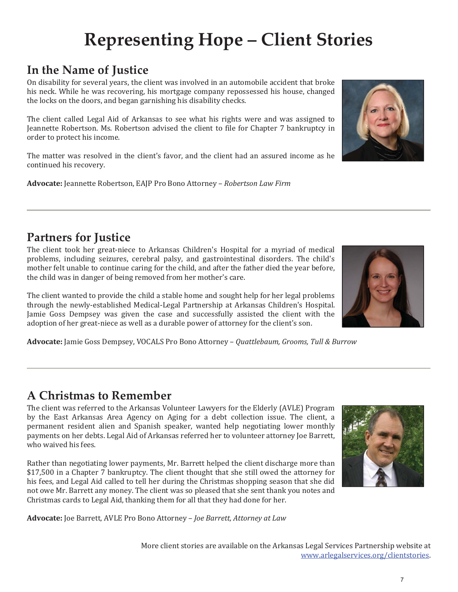## More client stories are available on the Arkansas Legal Services Partnership website at www.arlegalservices.org/clientstories.

## **Representing Hope – Client Stories**

## **In the Name of Justice**

On disability for several years, the client was involved in an automobile accident that broke his neck. While he was recovering, his mortgage company repossessed his house, changed the locks on the doors, and began garnishing his disability checks.

The client called Legal Aid of Arkansas to see what his rights were and was assigned to Jeannette Robertson. Ms. Robertson advised the client to file for Chapter 7 bankruptcy in order to protect his income.

The matter was resolved in the client's favor, and the client had an assured income as he continued his recovery.

**Advocate:** Jeannette Robertson, EAJP Pro Bono Attorney – *Robertson Law Firm* 

## **Partners for Justice**

The client took her great-niece to Arkansas Children's Hospital for a myriad of medical problems, including seizures, cerebral palsy, and gastrointestinal disorders. The child's mother felt unable to continue caring for the child, and after the father died the year before, the child was in danger of being removed from her mother's care.

The client wanted to provide the child a stable home and sought help for her legal problems through the newly-established Medical-Legal Partnership at Arkansas Children's Hospital. Jamie Goss Dempsey was given the case and successfully assisted the client with the adoption of her great-niece as well as a durable power of attorney for the client's son.

**Advocate:** Jamie Goss Dempsey, VOCALS Pro Bono Attorney – *Quattlebaum, Grooms, Tull & Burrow* 

## **A Christmas to Remember**

The client was referred to the Arkansas Volunteer Lawyers for the Elderly (AVLE) Program by the East Arkansas Area Agency on Aging for a debt collection issue. The client, a permanent resident alien and Spanish speaker, wanted help negotiating lower monthly payments on her debts. Legal Aid of Arkansas referred her to volunteer attorney Joe Barrett, who waived his fees.

Rather than negotiating lower payments, Mr. Barrett helped the client discharge more than \$17,500 in a Chapter 7 bankruptcy. The client thought that she still owed the attorney for his fees, and Legal Aid called to tell her during the Christmas shopping season that she did not owe Mr. Barrett any money. The client was so pleased that she sent thank you notes and Christmas cards to Legal Aid, thanking them for all that they had done for her.

**Advocate:** Joe Barrett, AVLE Pro Bono Attorney – *Joe Barrett, Attorney at Law* 





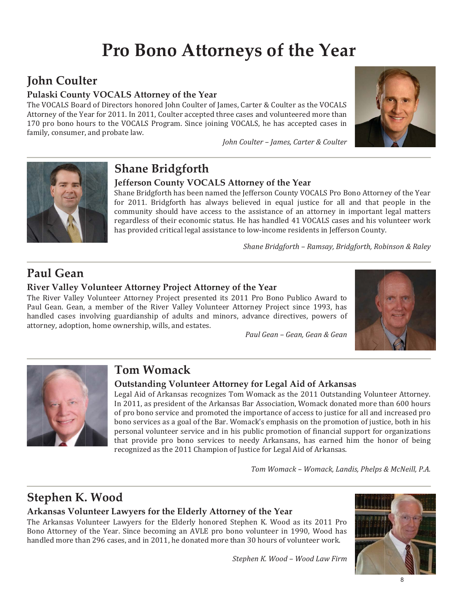## **Pro Bono Attorneys of the Year**

## **John Coulter**

#### Pulaski County VOCALS Attorney of the Year

The VOCALS Board of Directors honored John Coulter of James, Carter & Coulter as the VOCALS Attorney of the Year for 2011. In 2011, Coulter accepted three cases and volunteered more than 170 pro bono hours to the VOCALS Program. Since joining VOCALS, he has accepted cases in family, consumer, and probate law.

John Coulter - James, Carter & Coulter





## **Shane Bridgforth**

#### Jefferson County VOCALS Attorney of the Year

Shane Bridgforth has been named the Jefferson County VOCALS Pro Bono Attorney of the Year for 2011. Bridgforth has always believed in equal justice for all and that people in the community should have access to the assistance of an attorney in important legal matters regardless of their economic status. He has handled 41 VOCALS cases and his volunteer work has provided critical legal assistance to low-income residents in Jefferson County.

Shane Bridgforth - Ramsay, Bridgforth, Robinson & Raley

## Paul Gean

#### River Valley Volunteer Attorney Project Attorney of the Year

The River Valley Volunteer Attorney Project presented its 2011 Pro Bono Publico Award to Paul Gean. Gean, a member of the River Valley Volunteer Attorney Project since 1993, has handled cases involving guardianship of adults and minors, advance directives, powers of attorney, adoption, home ownership, wills, and estates.

Paul Gean - Gean, Gean & Gean





### **Tom Womack**

#### **Outstanding Volunteer Attorney for Legal Aid of Arkansas**

Legal Aid of Arkansas recognizes Tom Womack as the 2011 Outstanding Volunteer Attorney. In 2011, as president of the Arkansas Bar Association, Womack donated more than 600 hours of pro bono service and promoted the importance of access to justice for all and increased pro bono services as a goal of the Bar. Womack's emphasis on the promotion of justice, both in his personal volunteer service and in his public promotion of financial support for organizations that provide pro bono services to needy Arkansans, has earned him the honor of being recognized as the 2011 Champion of Justice for Legal Aid of Arkansas.

Tom Womack - Womack, Landis, Phelps & McNeill, P.A.

## **Stephen K. Wood**

#### Arkansas Volunteer Lawyers for the Elderly Attorney of the Year

The Arkansas Volunteer Lawyers for the Elderly honored Stephen K. Wood as its 2011 Pro Bono Attorney of the Year. Since becoming an AVLE pro bono volunteer in 1990, Wood has handled more than 296 cases, and in 2011, he donated more than 30 hours of volunteer work.

Stephen K. Wood - Wood Law Firm

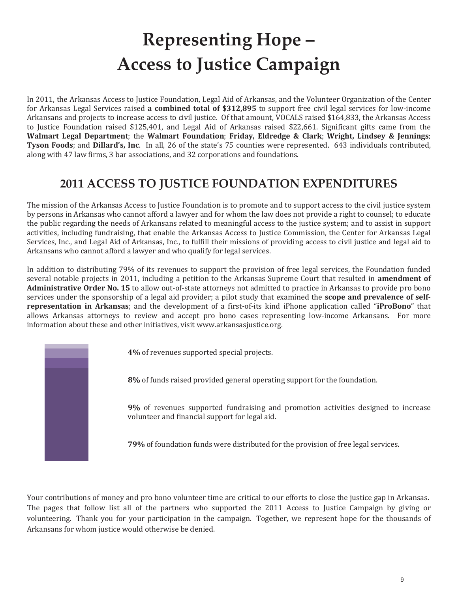## **Representing Hope – Access to Justice Campaign**

In 2011, the Arkansas Access to Justice Foundation, Legal Aid of Arkansas, and the Volunteer Organization of the Center for Arkansas Legal Services raised **a combined total of \$312,895** to support free civil legal services for low-income Arkansans and projects to increase access to civil justice. Of that amount, VOCALS raised \$164,833, the Arkansas Access to Justice Foundation raised \$125,401, and Legal Aid of Arkansas raised \$22,661. Significant gifts came from the **Walmart Legal Department**; the **Walmart Foundation**; **Friday, Eldredge & Clark**; **Wright, Lindsey & Jennings**; **Tyson Foods**; and **Dillard's, Inc**. In all, 26 of the state's 75 counties were represented. 643 individuals contributed, along with 47 law firms, 3 bar associations, and 32 corporations and foundations.

## **2011 ACCESS TO JUSTICE FOUNDATION EXPENDITURES**

The mission of the Arkansas Access to Justice Foundation is to promote and to support access to the civil justice system by persons in Arkansas who cannot afford a lawyer and for whom the law does not provide a right to counsel; to educate the public regarding the needs of Arkansans related to meaningful access to the justice system; and to assist in support activities, including fundraising, that enable the Arkansas Access to Justice Commission, the Center for Arkansas Legal Services, Inc., and Legal Aid of Arkansas, Inc., to fulfill their missions of providing access to civil justice and legal aid to Arkansans who cannot afford a lawyer and who qualify for legal services.

In addition to distributing 79% of its revenues to support the provision of free legal services, the Foundation funded several notable projects in 2011, including a petition to the Arkansas Supreme Court that resulted in **amendment of Administrative Order No. 15** to allow out-of-state attorneys not admitted to practice in Arkansas to provide pro bono services under the sponsorship of a legal aid provider; a pilot study that examined the **scope and prevalence of selfrepresentation in Arkansas**; and the development of a first-of-its kind iPhone application called "**iProBono**" that allows Arkansas attorneys to review and accept pro bono cases representing low-income Arkansans. For more information about these and other initiatives, visit www.arkansasjustice.org.

**4%** of revenues supported special projects.

**8%** of funds raised provided general operating support for the foundation.

**9%** of revenues supported fundraising and promotion activities designed to increase volunteer and financial support for legal aid.

**79%** of foundation funds were distributed for the provision of free legal services.

Your contributions of money and pro bono volunteer time are critical to our efforts to close the justice gap in Arkansas. The pages that follow list all of the partners who supported the 2011 Access to Justice Campaign by giving or volunteering. Thank you for your participation in the campaign. Together, we represent hope for the thousands of Arkansans for whom justice would otherwise be denied.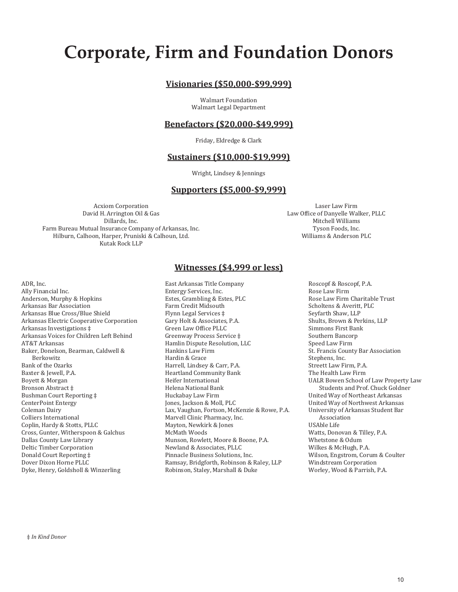## **Corporate, Firm and Foundation Donors**

#### **Visionaries (\$50,000-\$99,999)**

Walmart Foundation Walmart Legal Department

#### **Benefactors (\$20,000-\$49,999)**

Friday, Eldredge & Clark

#### **Sustainers (\$10,000-\$19,999)**

Wright, Lindsey & Jennings

#### **Supporters (\$5,000-\$9,999)**

Acxiom Corporation David H. Arrington Oil & Gas Dillards, Inc. Farm Bureau Mutual Insurance Company of Arkansas, Inc. Hilburn, Calhoon, Harper, Pruniski & Calhoun, Ltd. Kutak Rock LLP

Laser Law Firm Law Office of Danyelle Walker, PLLC Mitchell Williams Tyson Foods, Inc. Williams & Anderson PLC

#### **Witnesses (\$4,999 or less)**

ADR, Inc. Ally Financial Inc. Anderson, Murphy & Hopkins Arkansas Bar Association Arkansas Blue Cross/Blue Shield Arkansas Electric Cooperative Corporation Arkansas Investigations ‡ Arkansas Voices for Children Left Behind AT&T Arkansas Baker, Donelson, Bearman, Caldwell & Berkowitz Bank of the Ozarks Baxter & Jewell, P.A. Boyett & Morgan Bronson Abstract ‡ Bushman Court Reporting ‡ CenterPoint Entergy Coleman Dairy Colliers International Coplin, Hardy & Stotts, PLLC Cross, Gunter, Witherspoon & Galchus Dallas County Law Library Deltic Timber Corporation Donald Court Reporting ‡ Dover Dixon Horne PLLC Dyke, Henry, Goldsholl & Winzerling

East Arkansas Title Company Entergy Services, Inc. Estes, Grambling & Estes, PLC Farm Credit Midsouth Flynn Legal Services ‡ Gary Holt & Associates, P.A. Green Law Office PLLC Greenway Process Service ‡ Hamlin Dispute Resolution, LLC Hankins Law Firm Hardin & Grace Harrell, Lindsey & Carr, P.A. Heartland Community Bank Heifer International Helena National Bank Huckabay Law Firm Jones, Jackson & Moll, PLC Lax, Vaughan, Fortson, McKenzie & Rowe, P.A. Marvell Clinic Pharmacy, Inc. Mayton, Newkirk & Jones McMath Woods Munson, Rowlett, Moore & Boone, P.A. Newland & Associates, PLLC Pinnacle Business Solutions, Inc. Ramsay, Bridgforth, Robinson & Raley, LLP Robinson, Staley, Marshall & Duke

Roscopf & Roscopf, P.A. Rose Law Firm Rose Law Firm Charitable Trust Scholtens & Averitt, PLC Seyfarth Shaw, LLP Shults, Brown & Perkins, LLP Simmons First Bank Southern Bancorp Speed Law Firm St. Francis County Bar Association Stephens, Inc. Streett Law Firm, P.A. The Health Law Firm UALR Bowen School of Law Property Law Students and Prof. Chuck Goldner United Way of Northeast Arkansas United Way of Northwest Arkansas University of Arkansas Student Bar Association USAble Life Watts, Donovan & Tilley, P.A. Whetstone & Odum Wilkes & McHugh, P.A. Wilson, Engstrom, Corum & Coulter Windstream Corporation Worley, Wood & Parrish, P.A.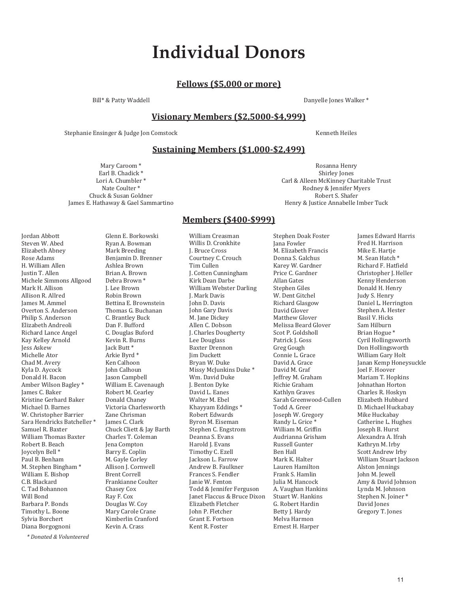## **Individual Donors**

#### **Fellows (\$5,000 or more)**

Bill\* & Patty Waddell **Bill\* & Patty Waddell** Danyelle Jones Walker \*

#### **Visionary Members (\$2,5000-\$4,999)**

Stephanie Ensinger & Judge Jon Comstock Stephanie Ensinger & Judge Jon Comstock Kenneth Heiles

#### **Sustaining Members (\$1,000-\$2,499)**

Mary Caroom \* Earl B. Chadick \* Lori A. Chumbler \* Nate Coulter \* Chuck & Susan Goldner James E. Hathaway & Gael Sammartino

> Glenn E. Borkowski Ryan A. Bowman Mark Breeding Benjamin D. Brenner Ashlea Brown Brian A. Brown Debra Brown \* J. Lee Brown Robin Brown Bettina E. Brownstein Thomas G. Buchanan C. Brantley Buck Dan F. Bufford C. Douglas Buford Kevin R. Burns Jack Butt \* Arkie Byrd \* Ken Calhoon John Calhoun Jason Campbell William E. Cavenaugh Robert M. Cearley Donald Chaney Victoria Charlesworth Zane Chrisman James C. Clark Chuck Cliett & Jay Barth Charles T. Coleman Jena Compton Barry E. Coplin M. Gayle Corley Allison J. Cornwell Brent Correll Frankianne Coulter Chasey Cox Ray F. Cox Douglas W. Coy Mary Carole Crane Kimberlin Cranford Kevin A. Crass

Rosanna Henry Shirley Jones Carl & Alleen McKinney Charitable Trust Rodney & Jennifer Myers Robert S. Shafer Henry & Justice Annabelle Imber Tuck

Jordan Abbott Steven W. Abed Elizabeth Abney Rose Adams H. William Allen Justin T. Allen Michele Simmons Allgood Mark H. Allison Allison R. Allred James M. Ammel Overton S. Anderson Philip S. Anderson Elizabeth Andreoli Richard Lance Angel Kay Kelley Arnold Jess Askew Michelle Ator Chad M. Avery Kyla D. Aycock Donald H. Bacon Amber Wilson Bagley \* James C. Baker Kristine Gerhard Baker Michael D. Barnes W. Christopher Barrier Sara Hendricks Batcheller \* Samuel R. Baxter William Thomas Baxter Robert B. Beach Joycelyn Bell \* Paul B. Benham M. Stephen Bingham \* William E. Bishop C.B. Blackard C. Tad Bohannon Will Bond Barbara P. Bonds Timothy L. Boone Sylvia Borchert Diana Borgognoni

*\* Donated & Volunteered* 

#### **Members (\$400-\$999)**

William Creasman Willis D. Cronkhite J. Bruce Cross Courtney C. Crouch Tim Cullen J. Cotten Cunningham Kirk Dean Darbe William Webster Darling J. Mark Davis John D. Davis John Gary Davis M. Jane Dickey Allen C. Dobson J. Charles Dougherty Lee Douglass Baxter Drennon Jim Duckett Bryan W. Duke Missy McJunkins Duke \* Wm. David Duke J. Benton Dyke David L. Eanes Walter M. Ebel Khayyam Eddings \* Robert Edwards Byron M. Eiseman Stephen C. Engstrom Deanna S. Evans Harold J. Evans Timothy C. Ezell Jackson L. Farrow Andrew B. Faulkner Frances S. Fendler Janie W. Fenton Todd & Jennifer Ferguson Janet Flaccus & Bruce Dixon Elizabeth Fletcher John P. Fletcher Grant E. Fortson Kent R. Foster

Stephen Doak Foster Jana Fowler M. Elizabeth Francis Donna S. Galchus Karey W. Gardner Price C. Gardner Allan Gates Stephen Giles W. Dent Gitchel Richard Glasgow David Glover Matthew Glover Melissa Beard Glover Scot P. Goldsholl Patrick J. Goss Greg Gough Connie L. Grace David A. Grace David M. Graf Jeffrey M. Graham Richie Graham Kathlyn Graves Sarah Greenwood-Cullen Todd A. Greer Joseph W. Gregory Randy L. Grice \* William M. Griffin Audrianna Grisham Russell Gunter Ben Hall Mark K. Halter Lauren Hamilton Frank S. Hamlin Julia M. Hancock A. Vaughan Hankins Stuart W. Hankins G. Robert Hardin Betty J. Hardy Melva Harmon Ernest H. Harper

James Edward Harris Fred H. Harrison Mike E. Hartje M. Sean Hatch \* Richard F. Hatfield Christopher J. Heller Kenny Henderson Donald H. Henry Judy S. Henry Daniel L. Herrington Stephen A. Hester Basil V. Hicks Sam Hilburn Brian Hogue \* Cyril Hollingsworth Don Hollingsworth William Gary Holt Janan Kemp Honeysuckle Joel F. Hoover Mariam T. Hopkins Johnathan Horton Charles R. Hoskyn Elizabeth Hubbard D. Michael Huckabay Mike Huckabay Catherine L. Hughes Joseph B. Hurst Alexandra A. Ifrah Kathryn M. Irby Scott Andrew Irby William Stuart Jackson Alston Jennings John M. Jewell Amy & David Johnson Lynda M. Johnson Stephen N. Joiner \* David Jones Gregory T. Jones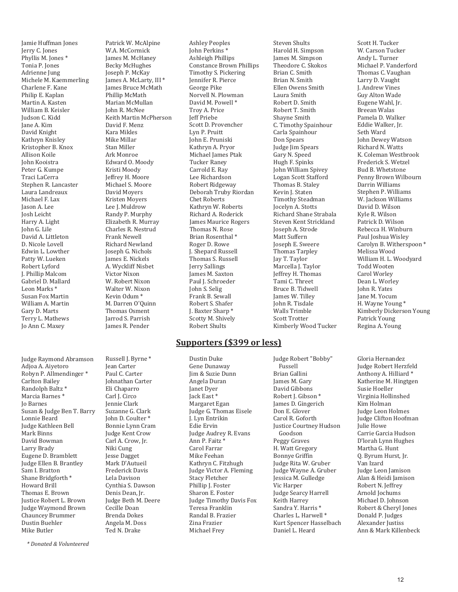Jamie Huffman Jones Jerry C. Jones Phyllis M. Jones \* Tonia P. Jones Adrienne Jung Michele M. Kaemmerling Charlene F. Kane Philip E. Kaplan Martin A. Kasten William B. Keisler Judson C. Kidd Jane A. Kim David Knight Kathryn Knisley Kristopher B. Knox Allison Koile John Kooistra Peter G. Kumpe Traci LaCerra Stephen R. Lancaster Laura Landreaux Michael F. Lax Jason A. Lee Josh Leicht Harry A. Light John G. Lile David A. Littleton D. Nicole Lovell Edwin L. Lowther Patty W. Lueken Robert Lyford J. Phillip Malcom Gabriel D. Mallard Leon Marks \* Susan Fox Martin William A. Martin Gary D. Marts Terry L. Mathews Jo Ann C. Maxey

Judge Raymond Abramson Adjoa A. Aiyetoro Robyn P. Allmendinger \* Carlton Bailey Randolph Baltz \* Marcia Barnes \* Jo Barnes Susan & Judge Ben T. Barry Lonnie Beard Judge Kathleen Bell Mark Binns David Bowman Larry Brady Eugene D. Bramblett Judge Ellen B. Brantley Sam I. Bratton Shane Bridgforth \* Howard Brill Thomas E. Brown Justice Robert L. Brown Judge Waymond Brown Chauncey Brummer Dustin Buehler Mike Butler

Patrick W. McAlpine W.A. McCormick James M. McHaney Becky McHughes Joseph P. McKay James A. McLarty, III \* James Bruce McMath Phillip McMath Marian McMullan John R. McNee Keith Martin McPherson David F. Menz Kara Mikles Mike Millar Stan Miller Ark Monroe Edward O. Moody Kristi Moody Jeffrey H. Moore Michael S. Moore David Moyers Kristen Moyers Lee J. Muldrow Randy P. Murphy Elizabeth R. Murray Charles R. Nestrud Frank Newell Richard Newland Joseph G. Nichols James E. Nickels A. Wyckliff Nisbet Victor Nixon W. Robert Nixon Walter W. Nixon Kevin Odum \* M. Darren O'Quinn Thomas Osment Jarrod S. Parrish James R. Pender

Russell J. Byrne \* Jean Carter Paul C. Carter Johnathan Carter Eli Chaparro Carl J. Circo Jennie Clark Suzanne G. Clark John D. Coulter \* Bonnie Lynn Cram Judge Kent Crow Carl A. Crow, Jr. Niki Cung Jesse Dagget Mark D'Autueil Frederick Davis Lela Davison Cynthia S. Dawson Denis Dean, Jr. Judge Beth M. Deere Cecille Doan Brenda Dokes Angela M. Doss Ted N. Drake

Ashley Peoples John Perkins \* Ashleigh Phillips Constance Brown Phillips Timothy S. Pickering Jennifer R. Pierce George Pike Norvell N. Plowman David M. Powell \* Troy A. Price Jeff Priebe Scott D. Provencher Lyn P. Pruitt John E. Pruniski Kathryn A. Pryor Michael James Ptak Tucker Raney Carrold E. Ray Lee Richardson Robert Ridgeway Deborah Truby Riordan Chet Roberts Kathryn W. Roberts Richard A. Roderick James Maurice Rogers Thomas N. Rose Brian Rosenthal \* Roger D. Rowe J. Shepard Russell Thomas S. Russell Jerry Sallings James M. Saxton Paul J. Schroeder John S. Selig Frank B. Sewall Robert S. Shafer J. Baxter Sharp \* Scotty M. Shively Robert Shults

#### **Supporters (\$399 or less)**

Dustin Duke Gene Dunaway Jim & Suzie Dunn Angela Duran Janet Dyer Jack East \* Margaret Egan Judge G. Thomas Eisele J. Lyn Entrikin Edie Ervin Judge Audrey R. Evans Ann P. Faitz \* Carol Farrar Mike Feehan Kathryn C. Fitzhugh Judge Victor A. Fleming Stacy Fletcher Phillip J. Foster Sharon E. Foster Judge Timothy Davis Fox Teresa Franklin Randal B. Frazier Zina Frazier Michael Frey

Steven Shults Harold H. Simpson James M. Simpson Theodore C. Skokos Brian C. Smith Brian N. Smith Ellen Owens Smith Laura Smith Robert D. Smith Robert T. Smith Shayne Smith C. Timothy Spainhour Carla Spainhour Don Spears Judge Jim Spears Gary N. Speed Hugh F. Spinks John William Spivey Logan Scott Stafford Thomas B. Staley Kevin J. Staten Timothy Steadman Jocelyn A. Stotts Richard Shane Strabala Steven Kent Strickland Joseph A. Strode Matt Suffern Joseph E. Sweere Thomas Tarpley Jay T. Taylor Marcella J. Taylor Jeffrey H. Thomas Tami C. Threet Bruce B. Tidwell James W. Tilley John R. Tisdale Walls Trimble Scott Trotter Kimberly Wood Tucker

Judge Robert "Bobby" Fussell Brian Gallini James M. Gary David Gibbons Robert J. Gibson \* James D. Gingerich Don E. Glover Carol R. Goforth Justice Courtney Hudson Goodson Peggy Graves H. Watt Gregory Bonnye Griffin Judge Rita W. Gruber Judge Wayne A. Gruber Jessica M. Gulledge Vic Harper Judge Searcy Harrell Keith Harrey Sandra Y. Harris \* Charles L. Harwell \* Kurt Spencer Hasselbach Daniel L. Heard

Scott H. Tucker W. Carson Tucker Andy L. Turner Michael P. Vanderford Thomas C. Vaughan Larry D. Vaught J. Andrew Vines Guy Alton Wade Eugene Wahl, Jr. Breean Walas Pamela D. Walker Eddie Walker, Jr. Seth Ward John Dewey Watson Richard N. Watts K. Coleman Westbrook Frederick S. Wetzel Bud B. Whetstone Penny Brown Wilbourn Darrin Williams Stephen P. Williams W. Jackson Williams David D. Wilson Kyle R. Wilson Patrick D. Wilson Rebecca H. Winburn Paul Joshua Wisley Carolyn B. Witherspoon \* Melissa Wood William H. L. Woodyard Todd Wooten Carol Worley Dean L. Worley John R. Yates Jane M. Yocum H. Wayne Young \* Kimberly Dickerson Young Patrick Young Regina A. Young

Gloria Hernandez Judge Robert Herzfeld Anthony A. Hilliard \* Katherine M. Hingtgen Susie Hoeller Virginia Hollinshed Kim Holman Judge Leon Holmes Judge Clifton Hoofman Julie Howe Carrie Garcia Hudson D'lorah Lynn Hughes Martha G. Hunt Q. Byrum Hurst, Jr. Van Izard Judge Leon Jamison Alan & Heidi Jamison Robert N. Jeffrey Arnold Jochums Michael D. Johnson Robert & Cheryl Jones Donald P. Judges Alexander Justiss Ann & Mark Killenbeck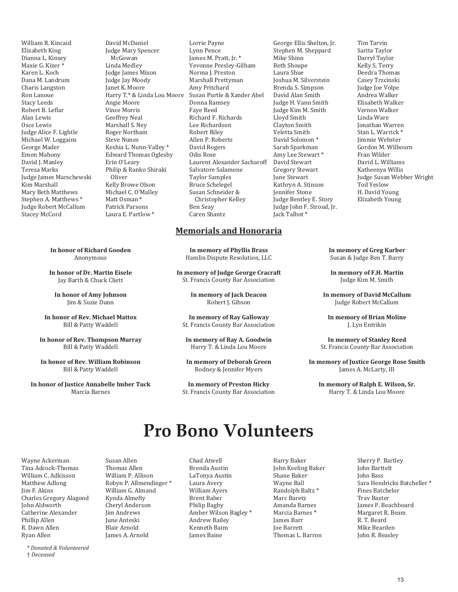William R. Kincaid Elizabeth King Dianna L. Kinsey Maxie G. Kizer \* Karen L. Koch Dana M. Landrum Charis Langston Ron Lanoue Stacy Leeds Robert B. Leflar Alan Lewis Osce Lewis Judge Alice F. Lightle Michael W. Loggains George Mader Emon Mahony David I. Manley Teresa Marks Judge James Marschewski Kim Marshall Mary Beth Matthews Stephen A. Matthews \* Judge Robert McCallum Stacey McCord

David McDaniel Judge Mary Spencer McGowan Linda Medley Judge James Mixon Judge Jay Moody Janet K. Moore Harry T.\* & Linda Lou Moore Angie Moore Vince Morris Geoffrey Neal Marshall S. Ney Roger Northam Steve Nunes Keshia L. Nunn-Valley \* Edward Thomas Oglesby Erin O'Leary Philip & Ranko Shiraki Oliver Kelly Browe Olson Michael C. O'Malley Matt Osman \* Patrick Parsons Laura E. Partlow \*

**In honor of Richard Gooden**  Anonymous

**In honor of Dr. Martin Eisele**  Jay Barth & Chuck Cliett

**In honor of Amy Johnson**  Jim & Suzie Dunn

**In honor of Rev. Michael Mattox**  Bill & Patty Waddell

**In honor of Rev. Thompson Murray**  Bill & Patty Waddell

**In honor of Rev. William Robinson**  Bill & Patty Waddell

**In honor of Justice Annabelle Imber Tuck**  Marcia Barnes

Lorrie Payne Lynn Pence James M. Pratt, Jr. \* Yevonne Presley-Gilham Norma J. Preston Marshall Prettyman Amy Pritchard Susan Purtle & Xander Abel Donna Ramsey Faye Reed Richard F. Richards Lee Richardson Robert Riley Allen P. Roberts David Rogers Odis Rose Laurent Alexander Sacharoff Salvatore Salamone Taylor Samples Bruce Schelegel Susan Schneider & Christopher Kelley Ben Seay Caren Shantz

#### **Memorials and Honoraria**

**In memory of Phyllis Brass**  Hamlin Dispute Resolution, LLC

**In memory of Judge George Cracraft**  St. Francis County Bar Association

> **In memory of Jack Deacon**  Robert J. Gibson

**In memory of Ray Galloway**  St. Francis County Bar Association

**In memory of Ray A. Goodwin**  Harry T. & Linda Lou Moore

**In memory of Deborah Green**  Rodney & Jennifer Myers

**In memory of Preston Hicky**  St. Francis County Bar Association

George Ellis Shelton, Jr. Stephen M. Sheppard Mike Shinn Beth Shoupe Laura Shue Joshua M. Silverstein Brenda S. Simpson David Alan Smith Judge H. Vann Smith Judge Kim M. Smith Lloyd Smith Clayton Smith Veletta Smith David Solomon \* Sarah Sparkman Amy Lee Stewart \* David Stewart Gregory Stewart June Stewart Kathryn A. Stinson Jennifer Stone Judge Bentley E. Story Judge John F. Stroud, Jr. Jack Talbot \*

Tim Tarvin Sarita Taylor Darryl Taylor Kelly S. Terry Deedra Thomas Casey Trzcinski Judge Joe Volpe Andrea Walker Elisabeth Walker Vernon Walker Linda Ware Jonathan Warren Stan L. Warrick \* Jimmie Webster Gordon M. Wilbourn Fran Wilder David L. Williams Katheenya Willis Judge Susan Webber Wright Tod Yeslow H. David Young Elizabeth Young

**In memory of Greg Karber**  Susan & Judge Ben T. Barry

**In memory of F.H. Martin**  Judge Kim M. Smith

**In memory of David McCallum**  Judge Robert McCallum

**In memory of Brian Moline**  J. Lyn Entrikin

**In memory of Stanley Reed**  St. Francis County Bar Association

**In memory of Justice George Rose Smith**  James A. McLarty, III

**In memory of Ralph E. Wilson, Sr.**  Harry T. & Linda Lou Moore

## **Pro Bono Volunteers**

Wayne Ackerman Tina Adcock-Thomas William C. Adkisson Matthew Adlong Jim F. Akins Charles Gregory Alagood John Aldworth Catherine Alexander Phillip Allen R. Dawn Allen Ryan Allen

*\* Donated & Volunteered*  † *Deceased* 

Susan Allen Thomas Allen William P. Allison Robyn P. Allmendinger \* William G. Almand Kynda Almefty Cheryl Anderson Jim Andrews June Anteski Blair Arnold James A. Arnold

Brenda Austin LaTonya Austin Laura Avery William Ayers Brent Baber Philip Bagby Amber Wilson Bagley \* Andrew Bailey Kenneth Baim James Baine

Chad Atwell

Barry Baker John Keeling Baker Shane Baker Wayne Ball Randolph Baltz \* Marc Baretz Amanda Barnes Marcia Barnes \* James Barr Joe Barrett Thomas L. Barron

Sherry P. Bartley John Barttelt John Bass Sara Hendricks Batcheller \* Fines Batchelor Trav Baxter James P. Beachboard Margaret R. Beam R. T. Beard Mike Bearden John R. Beasley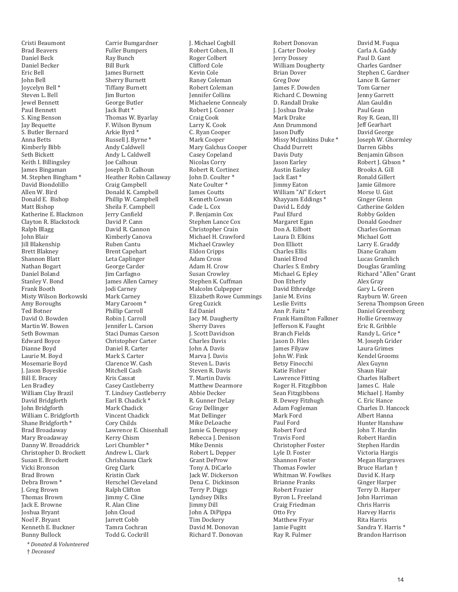Cristi Beaumont Brad Beavers Daniel Beck Daniel Becker Eric Bell John Bell Joycelyn Bell \* Steven L. Bell Jewel Bennett Paul Bennett S. King Benson Jay Bequette S. Butler Bernard Anna Betts Kimberly Bibb Seth Bickett Keith I. Billingsley James Bingaman M. Stephen Bingham \* David Biondolillo Allen W. Bird Donald E. Bishop Matt Bishop Katherine E. Blackmon Clayton R. Blackstock Ralph Blagg John Blair Jill Blakenship Brett Blakney Shannon Blatt Nathan Bogart Daniel Boland Stanley V. Bond Frank Booth Misty Wilson Borkowski Amy Boroughs Ted Botner David O. Bowden Martin W. Bowen Seth Bowman Edward Boyce Dianne Boyd Laurie M. Boyd Mosemarie Boyd J. Jason Boyeskie Bill E. Bracey Len Bradley William Clay Brazil David Bridgforth John Bridgforth William C. Bridgforth Shane Bridgforth \* Brad Broadaway Mary Broadaway Danny W. Broaddrick Christopher D. Brockett Susan E. Brockett Vicki Bronson Brad Brown Debra Brown \* J. Greg Brown Thomas Brown Jack E. Browne Joshua Bryant Noel F. Bryant Kenneth E. Buckner Bunny Bullock

*\* Donated & Volunteered*  † *Deceased* 

Carrie Bumgardner Fuller Bumpers Ray Bunch Bill Burk James Burnett Sherry Burnett Tiffany Burnett Jim Burton George Butler Jack Butt \* Thomas W. Byarlay F. Wilson Bynum Arkie Byrd \* Russell J. Byrne \* Andy Caldwell Andy L. Caldwell Joe Calhoun Joseph D. Calhoun Heather Robin Callaway Craig Campbell Donald K. Campbell Phillip W. Campbell Sheila F. Campbell Jerry Canfield David P. Cann David R. Cannon Kimberly Canova Ruben Cantu Brent Capehart Leta Caplinger George Carder Jim Carfagno James Allen Carney Jodi Carney Mark Carney Mary Caroom \* Phillip Carroll Robin J. Carroll Jennifer L. Carson Staci Dumas Carson Christopher Carter Daniel R. Carter Mark S. Carter Clarence W. Cash Mitchell Cash Kris Cassat Casey Castleberry T. Lindsey Castleberry Earl B. Chadick \* Mark Chadick Vincent Chadick Cory Childs Lawrence E. Chisenhall Kerry Chism Lori Chumbler \* Andrew L. Clark Chrishauna Clark Greg Clark Kristin Clark Herschel Cleveland Ralph Clifton Jimmy C. Cline R. Alan Cline John Cloud Jarrett Cobb Tamra Cochran Todd G. Cockrill

J. Michael Cogbill Robert Cohen, II Roger Colbert Clifford Cole Kevin Cole Raney Coleman Robert Coleman Jennifer Collins Michaelene Connealy Robert J. Conner Craig Cook Larry K. Cook C. Ryan Cooper Mark Cooper Mary Galchus Cooper Casey Copeland Nicolas Corry Robert R. Cortinez John D. Coulter \* Nate Coulter \* James Coutts Kenneth Cowan Cade L. Cox P. Benjamin Cox Stephen Lance Cox Christopher Crain Michael H. Crawford Michael Crawley Eldon Cripps Adam Cross Adam H. Crow Susan Crowley Stephen K. Cuffman Malcolm Culpepper Elizabeth Rowe Cummings Greg Cuzick Ed Daniel Jacy M. Daugherty Sherry Daves J. Scott Davidson Charles Davis John A. Davis Marva I. Davis Steven L. Davis Steven R. Davis T. Martin Davis Matthew Dearmore Abbie Decker R. Gunner DeLay Gray Dellinger Mat Dellinger Mike DeLoache Jamie G. Dempsey Rebecca J. Denison Mike Dennis Robert L. Depper Grant DeProw Tony A. DiCarlo Jack W. Dickerson Dena C. Dickinson Terry P. Diggs Lyndsey Dilks Jimmy Dill John A. DiPippa Tim Dockery David M. Donovan Richard T. Donovan

Robert Donovan J. Carter Dooley Jerry Dossey William Dougherty Brian Dover Greg Dow James F. Dowden Richard C. Downing D. Randall Drake J. Joshua Drake Mark Drake Ann Drummond Jason Duffy Missy McJunkins Duke \* Chadd Durrett Davis Duty Jason Earley Austin Easley Jack East \* Jimmy Eaton William "Al" Eckert Khayyam Eddings \* David L. Eddy Paul Efurd Margaret Egan Don A. Eilbott Laura D. Elkins Don Elliott Charles Ellis Daniel Elrod Charles S. Embry Michael G. Epley Don Etherly David Ethredge Janie M. Evins Leslie Evitts Ann P. Faitz \* Frank Hamilton Falkner Jefferson K. Faught Branch Fields Jason D. Files James Filyaw John W. Fink Betsy Finocchi Katie Fisher Lawrence Fitting Roger H. Fitzgibbon Sean Fitzgibbons B. Dewey Fitzhugh Adam Fogleman Mark Ford Paul Ford Robert Ford Travis Ford Christopher Foster Lyle D. Foster Shannon Foster Thomas Fowler Whitman W. Fowlkes Brianne Franks Robert Frazier Byron L. Freeland Craig Friedman Otto Fry Matthew Fryar Jamie Fugitt Ray R. Fulmer

David M. Fuqua Carla A. Gaddy Paul D. Gant Charles Gardner Stephen C. Gardner Lance B. Garner Tom Garner Jenny Garrett Alan Gauldin Paul Gean Roy R. Gean, III Jeff Gearhart David George Joseph W. Ghormley Darren Gibbs Benjamin Gibson Robert J. Gibson \* Brooks A. Gill Ronald Gillert Jamie Gilmore Morse U. Gist Ginger Glenn Catherine Golden Robby Golden Donald Goodner Charles Gorman Michael Gott Larry E. Graddy Diane Graham Lucas Gramlich Douglas Gramling Richard "Allen" Grant Alex Gray Gary L. Green Rayburn W. Green Serena Thompson Green Daniel Greenberg Hollie Greenway Eric R. Gribble Randy L. Grice \* M. Joseph Grider Laura Grimes Kendel Grooms Alex Guynn Shaun Hair Charles Halbert James C. Hale Michael I. Hamby C. Eric Hance Charles D. Hancock Albert Hanna Hunter Hanshaw John T. Hardin Robert Hardin Stephen Hardin Victoria Hargis Megan Hargraves Bruce Harlan † David K. Harp Ginger Harper Terry D. Harper John Harriman Chris Harris Harvey Harris Rita Harris Sandra Y. Harris \* Brandon Harrison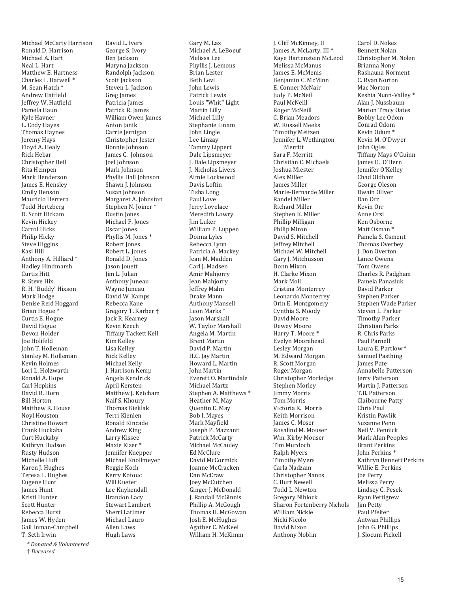*\* Donated & Volunteered*  Michael McCarty Harrison Ronald D. Harrison Michael A. Hart Neal L. Hart Matthew E. Hartness Charles L. Harwell \* M. Sean Hatch \* Andrew Hatfield Jeffrey W. Hatfield Pamela Haun Kyle Havner L. Cody Hayes Thomas Haynes Jeremy Hays Floyd A. Healy Rick Hebar Christopher Heil Rita Hempen Mark Henderson James E. Hensley Emily Henson Mauricio Herrera Todd Hertzberg D. Scott Hickam Kevin Hickey Carrol Hicks Philip Hicky Steve Higgins Kasi Hill Anthony A. Hilliard \* Hadley Hindmarsh Curtis Hitt R. Steve Hix R. H. 'Buddy' Hixson Mark Hodge Denise Reid Hoggard Brian Hogue \* Curtis E. Hogue David Hogue Devon Holder Joe Holifeld John T. Holleman Stanley M. Holleman Kevin Holmes Lori L. Holzwarth Ronald A. Hope Carl Hopkins David R. Horn Bill Horton Matthew R. House Noyl Houston Christine Howart Frank Huckaba Curt Huckaby Kathryn Hudson Rusty Hudson Michelle Huff Karen J. Hughes Teresa L. Hughes Eugene Hunt James Hunt Kristi Hunter Scott Hunter Rebecca Hurst James W. Hyden Gail Inman-Campbell T. Seth Irwin

† *Deceased* 

David L. Ivers George S. Ivory Ben Jackson Maryna Jackson Randolph Jackson Scott Jackson Steven L. Jackson Greg James Patricia James Patrick R. James William Owen James Anton Janik Carrie Jernigan Christopher Jester Bonnie Johnson James C. Johnson Joel Johnson Mark Johnson Phyllis Hall Johnson Shawn J. Johnson Susan Johnson Margaret A. Johnston Stephen N. Joiner \* Dustin Jones Michael F. Jones Oscar Jones Phyllis M. Jones \* Robert Jones Robert L. Jones Ronald D. Jones Jason Jouett Jim L. Julian Anthony Juneau Wayne Juneau David W. Kamps Rebecca Kane Gregory T. Karber † Jack R. Kearney Kevin Keech Tiffany Tackett Kell Kim Kelley Lisa Kelley Nick Kelley Michael Kelly J. Harrison Kemp Angela Kendrick April Kersten Matthew I. Ketcham Naif S. Khoury Thomas Kieklak Terri Kienlen Ronald Kincade Andrew King Larry Kissee Maxie Kizer \* Jennifer Knepper Michael Knollmeyer Reggie Koch Kerry Kotouc Will Kueter Lee Kuykendall Brandon Lacy Stewart Lambert Sherri Latimer Michael Lauro Allen Laws Hugh Laws

Gary M. Lax Michael A. LeBoeuf Melissa Lee Phyllis J. Lemons Brian Lester Beth Levi John Lewis Patrick Lewis Louis "Whit" Light Martin Lilly Michael Lilly Stephanie Linam John Lingle Lee Linzay Tammy Lippert Dale Lipsmeyer J. Dale Lipsmeyer J. Nicholas Livers Aimie Lockwood Davis Loftin Tisha Long Paul Love Jerry Lovelace Meredith Lowry Jim Luker William P. Luppen Donna Lyles Rebecca Lynn Patricia A. Mackey Jean M. Madden Carl J. Madsen Amir Mahjorry Jean Mahjorry Jeffrey Malm Drake Mann Anthony Mansell Leon Marks \* Jason Marshall W. Taylor Marshall Angela M. Martin Brent Martin David P. Martin H.C. Jay Martin Howard L. Martin John Martin Everett O. Martindale Michael Martz Stephen A. Matthews \* Heather M. May Quentin E. May Bob I. Mayes Mark Mayfield Joseph P. Mazzanti Patrick McCarty Michael McCauley Ed McClure David McCormick Joanne McCracken Dan McCraw Joey McCutchen Ginger J. McDonald J. Randall McGinnis Phillip A. McGough Thomas H. McGowan Josh E. McHughes Agather C. McKeel William H. McKimm

J. Cliff McKinney, II James A. McLarty, III \* Kaye Hartenstein McLeod Melissa McManus James E. McMenis Benjamin C. McMinn E. Conner McNair Judy P. McNeil Paul McNeill Roger McNeill C. Brian Meadors W. Russell Meeks Timothy Meitzen Jennifer L. Wethington Merritt Sara F. Merritt Christian C. Michaels Joshua Miester Alex Miller James Miller Marie-Bernarde Miller Randel Miller Richard Miller Stephen K. Miller Phillip Milligan Philip Miron David S. Mitchell Jeffrey Mitchell Michael W. Mitchell Gary J. Mitchusson Donn Mixon H. Clarke Mixon Mark Moll Cristina Monterrey Leonardo Monterrey Orin E. Montgomery Cynthia S. Moody David Moore Dewey Moore Harry T. Moore \* Evelyn Moorehead Lesley Morgan M. Edward Morgan R. Scott Morgan Roger Morgan Christopher Morledge Stephen Morley Jimmy Morris Tom Morris Victoria K. Morris Keith Morrison James C. Moser Rosalind M. Mouser Wm. Kirby Mouser Tim Murdoch Ralph Myers Timothy Myers Carla Nadzam Christopher Nanos C. Burt Newell Todd L. Newton Gregory Niblock Sharon Fortenberry Nichols William Nickle Nicki Nicolo David Nixon Anthony Noblin

Carol D. Nokes Bennett Nolan Christopher M. Nolen Brianna Nony Rashauna Norment C. Ryan Norton Mac Norton Keshia Nunn-Valley \* Alan J. Nussbaum Marion Tracy Oates Bobby Lee Odom Conrad Odom Kevin Odum \* Kevin M. O'Dwyer John Ogles Tiffany Mays O'Guinn James E. O'Hern Jennifer O'Kelley Chad Oldham George Oleson Dwain Oliver Dan Orr Kevin Orr Anne Orsi Ken Osborne Matt Osman \* Pamela S. Osment Thomas Overbey J. Don Overton Lance Owens Tom Owens Charles R. Padgham Pamela Panasiuk David Parker Stephen Parker Stephen Wade Parker Steven L. Parker Timothy Parker Christian Parks R. Chris Parks Paul Parnell Laura E. Partlow \* Samuel Pasthing James Pate Annabelle Patterson Jerry Patterson Martin J. Patterson T.B. Patterson Claibourne Patty Chris Paul Kristin Pawlik Suzanne Penn Neil V. Pennick Mark Alan Peoples Brant Perkins John Perkins \* Kathryn Bennett Perkins Willie E. Perkins Joe Perry Melissa Perry Lindsey C. Pesek Ryan Pettigrew Jim Petty Paul Pfeifer Antwan Phillips John G. Phillips J. Slocum Pickell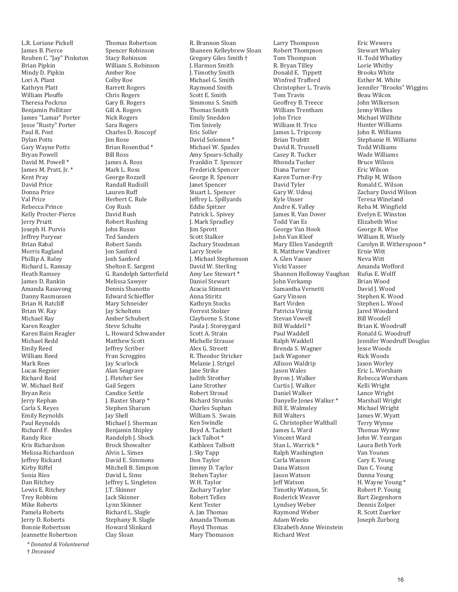L.R. Loriane Pickell James B. Pierce Reuben C. "Jay" Pinkston Brian Pipkin Mindy D. Pipkin Lori A. Plant Kathryn Platt William Plouffe Theresa Pockrus Benjamin Pollitzer James "Lamar" Porter Jesse "Rusty" Porter Paul R. Post Dylan Potts Gary Wayne Potts Bryan Powell David M. Powell \* James M. Pratt, Jr. \* Kent Pray David Price Donna Price Val Price Rebecca Prince Kelly Procter-Pierce Jerry Pruitt Joseph H. Purvis Jeffrey Puryear Brian Rabal Morris Ragland Phillip A. Raley Richard L. Ramsay Heath Ramsey James D. Rankin Amanda Rasavong Danny Rasmussen Brian H. Ratcliff Brian W. Ray Michael Ray Karen Reagler Karen Baim Reagler Michael Redd Emily Reed William Reed Mark Rees Lucas Regnier Richard Reid W. Michael Reif Bryan Reis Jerry Rephan Carla S. Reyes Emily Reynolds Paul Reynolds Richard F. Rhodes Randy Rice Kris Richardson Melissa Richardson Jeffrey Rickard Kirby Riffel Sonia Rios Dan Ritchey Lewis E. Ritchey Trey Robbins Mike Roberts Pamela Roberts Jerry D. Roberts Bonnie Robertson Jeannette Robertson

*\* Donated & Volunteered*  † *Deceased* 

Thomas Robertson Spencer Robinson Stacy Robinson William S. Robinson Amber Roe Colby Roe Barrett Rogers Chris Rogers Gary B. Rogers Gill A. Rogers Nick Rogers Sara Rogers Charles D. Roscopf Jim Rose Brian Rosenthal \* Bill Ross James A. Ross Mark L. Ross George Rozzell Randall Rudisill Lauren Ruff Herbert C. Rule Coy Rush David Rush Robert Rushing John Russo Ted Sanders Robert Sands Jon Sanford Josh Sanford Shelton E. Sargent G. Randolph Satterfield Melissa Sawyer Dennis Sbanotto Edward Schieffler Mary Schneider Jay Scholtens Amber Schubert Steve Schulte L. Howard Schwander Matthew Scott Jeffrey Scriber Fran Scroggins Jay Scurlock Alan Seagrave J. Fletcher See Gail Segers Candice Settle J. Baxter Sharp \* Stephen Sharum Jay Shell Michael J. Sherman Benjamin Shipley Randolph J. Shock Brock Showalter Alvin L. Simes David E. Simmons Mitchell B. Simpson David L. Sims Jeffrey L. Singleton J.T. Skinner Jack Skinner Lynn Skinner Richard L. Slagle Stephany R. Slagle Howard Slinkard Clay Sloan

R. Brannon Sloan Shaneen Kelleybrew Sloan Gregory Giles Smith † J. Harmon Smith J. Timothy Smith Michael G. Smith Raymond Smith Scott E. Smith Simmons S. Smith Thomas Smith Emily Sneddon Tim Snively Eric Soller David Solomon \* Michael W. Spades Amy Spears-Schally Franklin T. Spencer Frederick Spencer George R. Spencer Janet Spencer Stuart L. Spencer Jeffrey L. Spillyards Eddie Spitzer Patrick L. Spivey J. Mark Spradley Jim Sprott Scott Stalker Zachary Steadman Larry Steele J. Michael Stephenson David W. Sterling Amy Lee Stewart \* Daniel Stewart Acacia Stinnett Anna Stiritz Kathryn Stocks Forrest Stolzer Clayborne S. Stone Paula J. Storeygard Scott A. Strain Michelle Strause Alex G. Streett R. Theodor Stricker Melanie I. Strigel Jane Strike Judith Strother Lane Strother Robert Stroud Richard Strunks Charles Suphan William S. Swain Ken Swindle Boyd A. Tackett Jack Talbot \* Kathleen Talbott J. Sky Tapp Don Taylor Jimmy D. Taylor Stehen Taylor W.H. Taylor Zachary Taylor Robert Tellez Kent Tester A. Jan Thomas Amanda Thomas Floyd Thomas Mary Thomason

Larry Thompson Robert Thompson Tom Thompson R. Bryan Tilley Donald E. Tippett Winfred Trafford Christopher L. Travis Tom Travis Geoffrey B. Treece William Trentham John Trice William H. Trice James L. Tripcony Brian Trubitt David R. Trussell Casey R. Tucker Rhonda Tucker Diana Turner Karen Turner-Fry David Tyler Gary W. Udouj Kyle Unser Andre K. Valley James R. Van Dover Todd Van Es George Van Hook John Van Kleef Mary Ellen Vandegrift R. Matthew Vandiver A. Glen Vasser Vicki Vasser Shannon Holloway Vaughan John Verkamp Samantha Vernetti Gary Vinson Bart Virden Patricia Virnig Stevan Vowell Bill Waddell \* Paul Waddell Ralph Waddell Brenda S. Wagner Jack Wagoner Allison Waldrip Jason Wales Byron J. Walker Curtis J. Walker Daniel Walker Danyelle Jones Walker \* Bill E. Walmsley Bill Walters G. Christopher Walthall James L. Ward Vincent Ward Stan L. Warrick \* Ralph Washington Carla Wasson Dana Watson Jason Watson Jeff Watson Timothy Watson, Sr. Roderick Weaver Lyndsey Weber Raymond Weber Adam Weeks Elizabeth Anne Weinstein Richard West

Eric Wewers Stewart Whaley H. Todd Whatley Lorie Whitby Brooks White Esther M. White Jennifer "Brooks" Wiggins Beau Wilcox John Wilkerson Jenny Wilkes Michael Willhite Hunter Williams John R. Williams Stephanie H. Williams Todd Williams Wade Williams Bruce Wilson Eric Wilson Philip M. Wilson Ronald C. Wilson Zachary David Wilson Teresa Wineland Reba M. Wingfield Evelyn E. Winston Elizabeth Wise George R. Wise William R. Wisely Carolyn B. Witherspoon \* Ernie Witt Neva Witt Amanda Wofford Rufus E. Wolff Brian Wood David I. Wood Stephen K. Wood Stephen L. Wood Jared Woodard Bill Woodell Brian K. Woodruff Ronald G. Woodruff Jennifer Woodruff Douglas Jesse Woods Rick Woods Jason Worley Eric L. Worsham Rebecca Worsham Kelli Wright Lance Wright Marshall Wright Michael Wright James W. Wyatt Terry Wynne Thomas Wynne John W. Yeargan Laura Beth York Van Younes Cary E. Young Dan C. Young Danna Young H. Wayne Young \* Robert P. Young Bart Ziegenhorn Dennis Zolper R. Scott Zuerker Joseph Zurborg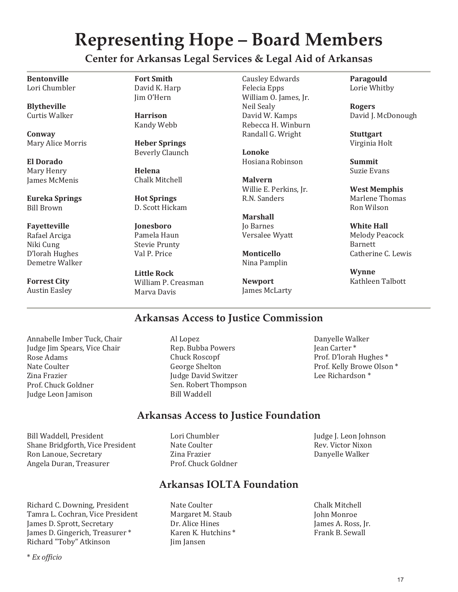## **Representing Hope – Board Members**

**Center for Arkansas Legal Services & Legal Aid of Arkansas** 

**Bentonville**  Lori Chumbler

**Blytheville**  Curtis Walker

**Conway**  Mary Alice Morris

**El Dorado**  Mary Henry James McMenis

**Eureka Springs**  Bill Brown

**Fayetteville**  Rafael Arciga Niki Cung D'lorah Hughes Demetre Walker

**Forrest City**  Austin Easley **Fort Smith**  David K. Harp Jim O'Hern

**Harrison**  Kandy Webb

**Heber Springs**  Beverly Claunch

**Helena**  Chalk Mitchell

**Hot Springs**  D. Scott Hickam

**Jonesboro**  Pamela Haun Stevie Prunty Val P. Price

**Little Rock**  William P. Creasman Marva Davis

Causley Edwards Felecia Epps William O. James, Jr. Neil Sealy David W. Kamps Rebecca H. Winburn Randall G. Wright

**Lonoke**  Hosiana Robinson

**Malvern**  Willie E. Perkins, Jr. R.N. Sanders

**Marshall**  Jo Barnes Versalee Wyatt

**Monticello**  Nina Pamplin

**Newport**  James McLarty **Paragould**  Lorie Whitby

**Rogers**  David J. McDonough

**Stuttgart**  Virginia Holt

**Summit**  Suzie Evans

**West Memphis**  Marlene Thomas Ron Wilson

**White Hall**  Melody Peacock Barnett Catherine C. Lewis

**Wynne**  Kathleen Talbott

### **Arkansas Access to Justice Commission**

Annabelle Imber Tuck, Chair Judge Jim Spears, Vice Chair Rose Adams Nate Coulter Zina Frazier Prof. Chuck Goldner Judge Leon Jamison

Bill Waddell, President Shane Bridgforth, Vice President Ron Lanoue, Secretary Angela Duran, Treasurer

Richard C. Downing, President Tamra L. Cochran, Vice President James D. Sprott, Secretary James D. Gingerich, Treasurer \* Richard "Toby" Atkinson

Al Lopez Rep. Bubba Powers Chuck Roscopf George Shelton Judge David Switzer Sen. Robert Thompson Bill Waddell

Danyelle Walker Jean Carter \* Prof. D'lorah Hughes \* Prof. Kelly Browe Olson \* Lee Richardson \*

Judge J. Leon Johnson Rev. Victor Nixon Danyelle Walker

#### **Arkansas Access to Justice Foundation**

Lori Chumbler Nate Coulter Zina Frazier Prof. Chuck Goldner

### **Arkansas IOLTA Foundation**

Nate Coulter Margaret M. Staub Dr. Alice Hines Karen K. Hutchins \* Jim Jansen

Chalk Mitchell John Monroe James A. Ross, Jr. Frank B. Sewall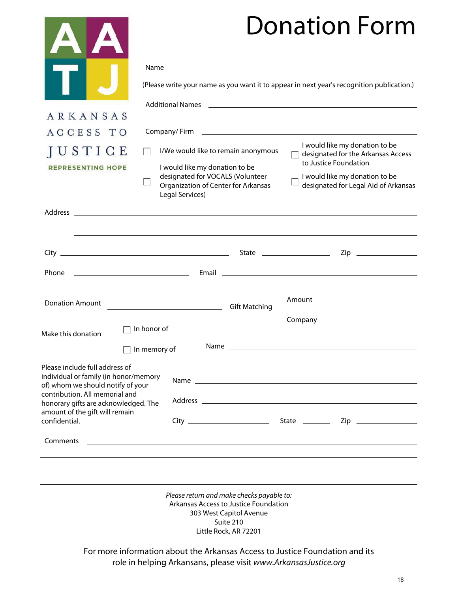# Donation Form

|                                                                                                                                                                                        |                                                                                                                                                 |                                                                                                                                                                                       | 7VHULIVIT I VITH                                                                                                                                                                                                               |                       |
|----------------------------------------------------------------------------------------------------------------------------------------------------------------------------------------|-------------------------------------------------------------------------------------------------------------------------------------------------|---------------------------------------------------------------------------------------------------------------------------------------------------------------------------------------|--------------------------------------------------------------------------------------------------------------------------------------------------------------------------------------------------------------------------------|-----------------------|
|                                                                                                                                                                                        | Name                                                                                                                                            |                                                                                                                                                                                       |                                                                                                                                                                                                                                |                       |
|                                                                                                                                                                                        | (Please write your name as you want it to appear in next year's recognition publication.)                                                       |                                                                                                                                                                                       |                                                                                                                                                                                                                                |                       |
|                                                                                                                                                                                        |                                                                                                                                                 |                                                                                                                                                                                       |                                                                                                                                                                                                                                |                       |
| ARKANSAS                                                                                                                                                                               |                                                                                                                                                 |                                                                                                                                                                                       |                                                                                                                                                                                                                                |                       |
| ACCESS TO                                                                                                                                                                              |                                                                                                                                                 |                                                                                                                                                                                       |                                                                                                                                                                                                                                |                       |
| JUSTICE                                                                                                                                                                                | I/We would like to remain anonymous<br>$\mathbf{L}$                                                                                             |                                                                                                                                                                                       | I would like my donation to be<br>$\Box$ designated for the Arkansas Access<br>to Justice Foundation                                                                                                                           |                       |
| <b>REPRESENTING HOPE</b>                                                                                                                                                               | Legal Services)                                                                                                                                 | I would like my donation to be<br>designated for VOCALS (Volunteer<br>- I would like my donation to be<br>designated for Legal Aid of Arkansas<br>Organization of Center for Arkansas |                                                                                                                                                                                                                                |                       |
|                                                                                                                                                                                        | Address and the contract of the contract of the contract of the contract of the contract of the contract of the                                 |                                                                                                                                                                                       |                                                                                                                                                                                                                                |                       |
|                                                                                                                                                                                        |                                                                                                                                                 |                                                                                                                                                                                       |                                                                                                                                                                                                                                | Zip _________________ |
| Phone                                                                                                                                                                                  |                                                                                                                                                 |                                                                                                                                                                                       |                                                                                                                                                                                                                                |                       |
|                                                                                                                                                                                        |                                                                                                                                                 |                                                                                                                                                                                       |                                                                                                                                                                                                                                |                       |
| <b>Donation Amount</b>                                                                                                                                                                 | Gift Matching                                                                                                                                   |                                                                                                                                                                                       |                                                                                                                                                                                                                                |                       |
|                                                                                                                                                                                        |                                                                                                                                                 |                                                                                                                                                                                       |                                                                                                                                                                                                                                |                       |
| Make this donation                                                                                                                                                                     | In honor of                                                                                                                                     |                                                                                                                                                                                       |                                                                                                                                                                                                                                |                       |
|                                                                                                                                                                                        | In memory of                                                                                                                                    |                                                                                                                                                                                       |                                                                                                                                                                                                                                |                       |
| Please include full address of<br>individual or family (in honor/memory<br>of) whom we should notify of your<br>contribution. All memorial and<br>honorary gifts are acknowledged. The |                                                                                                                                                 |                                                                                                                                                                                       | Name and the state of the state of the state of the state of the state of the state of the state of the state of the state of the state of the state of the state of the state of the state of the state of the state of the s |                       |
| amount of the gift will remain<br>confidential.                                                                                                                                        |                                                                                                                                                 |                                                                                                                                                                                       |                                                                                                                                                                                                                                |                       |
| Comments                                                                                                                                                                               |                                                                                                                                                 |                                                                                                                                                                                       |                                                                                                                                                                                                                                |                       |
|                                                                                                                                                                                        |                                                                                                                                                 |                                                                                                                                                                                       |                                                                                                                                                                                                                                |                       |
|                                                                                                                                                                                        |                                                                                                                                                 |                                                                                                                                                                                       |                                                                                                                                                                                                                                |                       |
|                                                                                                                                                                                        | Please return and make checks payable to:                                                                                                       | Arkansas Access to Justice Foundation<br>303 West Capitol Avenue<br>Suite 210<br>Little Rock, AR 72201                                                                                |                                                                                                                                                                                                                                |                       |
|                                                                                                                                                                                        | For more information about the Arkansas Access to Justice Foundation and its<br>role in helping Arkansans, please visit www.ArkansasJustice.org |                                                                                                                                                                                       |                                                                                                                                                                                                                                |                       |

**The Company of the Company** 

18